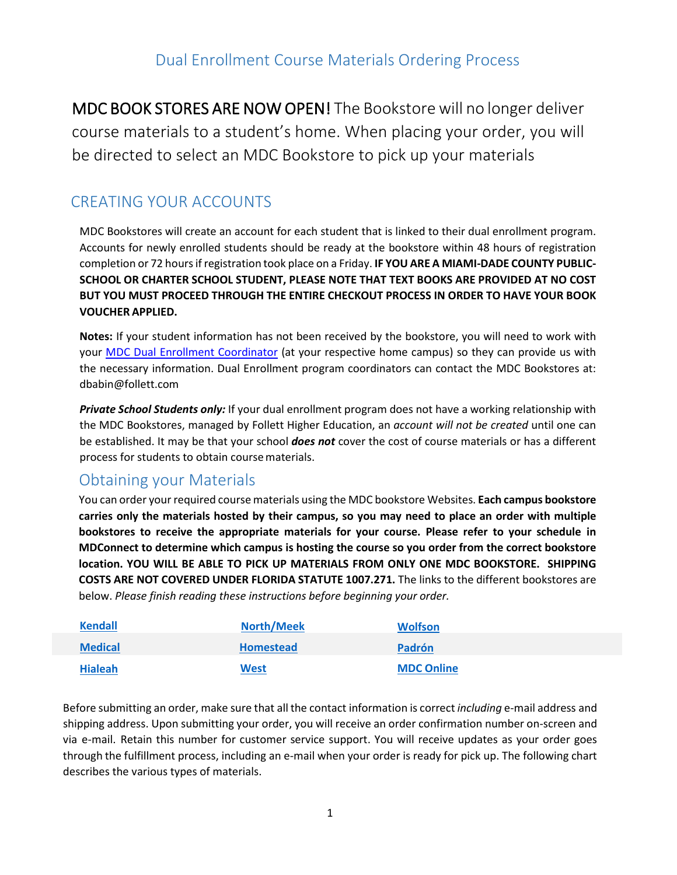MDC BOOK STORES ARE NOW OPEN! The Bookstore will no longer deliver course materials to a student's home. When placing your order, you will be directed to select an MDC Bookstore to pick up your materials

# CREATING YOUR ACCOUNTS

MDC Bookstores will create an account for each student that is linked to their dual enrollment program. Accounts for newly enrolled students should be ready at the bookstore within 48 hours of registration completion or 72 hours if registration took place on a Friday. **IF YOU ARE A MIAMI-DADE COUNTY PUBLIC-SCHOOL OR CHARTER SCHOOL STUDENT, PLEASE NOTE THAT TEXT BOOKS ARE PROVIDED AT NO COST BUT YOU MUST PROCEED THROUGH THE ENTIRE CHECKOUT PROCESS IN ORDER TO HAVE YOUR BOOK VOUCHER APPLIED.** 

**Notes:** If your student information has not been received by the bookstore, you will need to work with your **MDC Dual Enrol[lment Coordinator](https://www.mdc.edu/future-students/high-school/dual-enrollment.aspx)** (at your respective home campus) so they can provide us with the necessary information. Dual Enrollment program coordinators can contact the MDC Bookstores at: [dbabin@follett.com](mailto:dbabin@follett.com)

*Private School Students only:* If your dual enrollment program does not have a working relationship with the MDC Bookstores, managed by Follett Higher Education, an *account will not be created* until one can be established. It may be that your school *does not* cover the cost of course materials or has a different process for students to obtain coursematerials.

## Obtaining your Materials

You can order your required course materials using the MDC bookstore Websites. **Each campus bookstore carries only the materials hosted by their campus, so you may need to place an order with multiple bookstores to receive the appropriate materials for your course. Please refer to your schedule in MDConnect to determine which campus is hosting the course so you order from the correct bookstore location. YOU WILL BE ABLE TO PICK UP MATERIALS FROM ONLY ONE MDC BOOKSTORE. SHIPPING COSTS ARE NOT COVERED UNDER FLORIDA STATUTE 1007.271.** The links to the different bookstores are below. *Please finish reading these [instruction](http://mdckendallshop.com/)s before beginning your [order.](http://mdcnorthshop.com/)*

| <b>Kendall</b> | <b>North/Meek</b> | <b>Wolfson</b>    |
|----------------|-------------------|-------------------|
| <b>Medical</b> | <b>Homestead</b>  | Padrón            |
| <b>Hialeah</b> | <u>West</u>       | <b>MDC Online</b> |

Before submitting an order, make sure that all the contact information is correct *including* e-mail address and shipping address. Upon submitting your order, you will receive an order confirmation number on-screen and via e-mail. Retain this number for customer service support. You will receive updates as your order goes through the fulfillment process, including an e-mail when your order is ready for pick up. The following chart describes the various types of materials.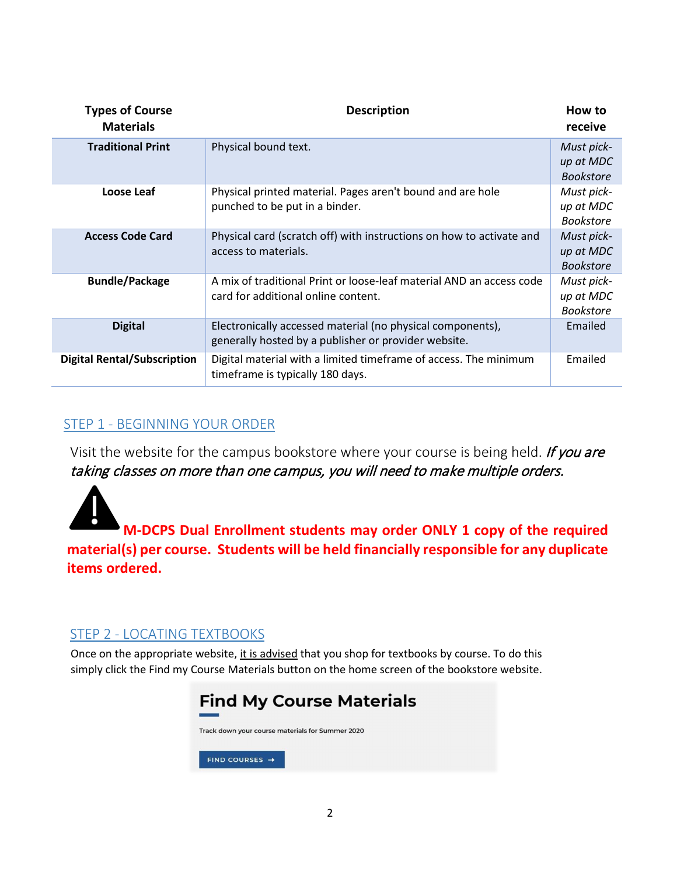| <b>Types of Course</b><br><b>Materials</b> | <b>Description</b>                                                                                                 | How to<br>receive                           |  |
|--------------------------------------------|--------------------------------------------------------------------------------------------------------------------|---------------------------------------------|--|
| <b>Traditional Print</b>                   | Physical bound text.                                                                                               | Must pick-<br>up at MDC<br><b>Bookstore</b> |  |
| Loose Leaf                                 | Physical printed material. Pages aren't bound and are hole<br>punched to be put in a binder.                       | Must pick-<br>up at MDC<br><b>Bookstore</b> |  |
| <b>Access Code Card</b>                    | Physical card (scratch off) with instructions on how to activate and<br>access to materials.                       | Must pick-<br>up at MDC<br><b>Bookstore</b> |  |
| <b>Bundle/Package</b>                      | A mix of traditional Print or loose-leaf material AND an access code<br>card for additional online content.        | Must pick-<br>up at MDC<br><b>Bookstore</b> |  |
| <b>Digital</b>                             | Electronically accessed material (no physical components),<br>generally hosted by a publisher or provider website. | Emailed                                     |  |
| <b>Digital Rental/Subscription</b>         | Digital material with a limited timeframe of access. The minimum<br>timeframe is typically 180 days.               | Emailed                                     |  |

### STEP 1 - BEGINNING YOUR ORDER

Visit the website for the campus bookstore where your course is being held. If you are taking classes on more than one campus, you will need to make multiple orders.

**M-DCPS Dual Enrollment students may order ONLY 1 copy of the required material(s) per course. Students will be held financially responsible for any duplicate items ordered.** 

#### STEP 2 - LOCATING TEXTBOOKS

Once on the appropriate website, it is advised that you shop for textbooks by course. To do this simply click the Find my Course Materials button on the home screen of the bookstore website.

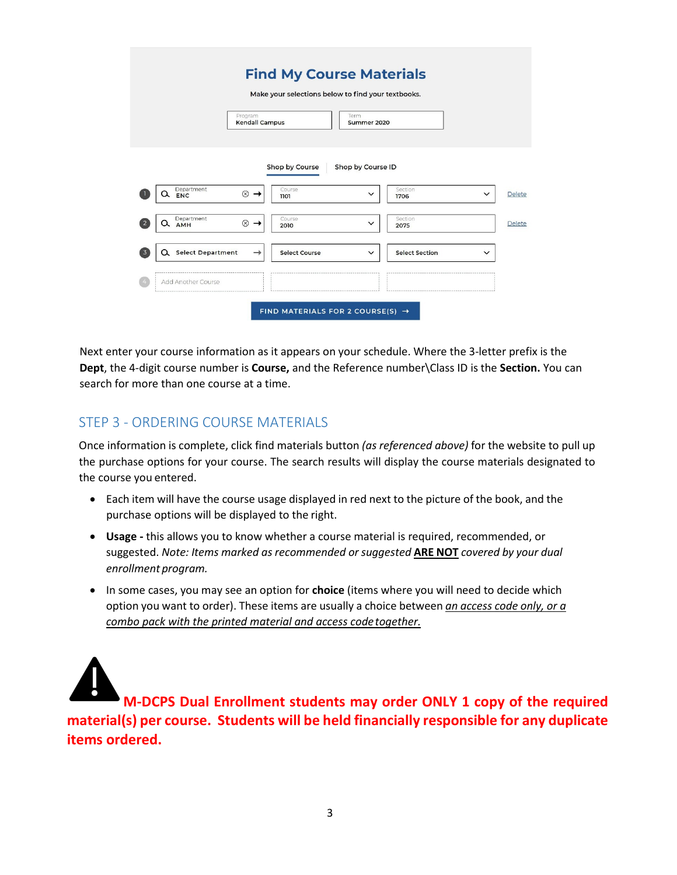|                                                        |                                  | Make your selections below to find your textbooks. |                     |                       |              |               |
|--------------------------------------------------------|----------------------------------|----------------------------------------------------|---------------------|-----------------------|--------------|---------------|
|                                                        | Program<br><b>Kendall Campus</b> |                                                    | Term<br>Summer 2020 |                       |              |               |
|                                                        |                                  | Shop by Course                                     | Shop by Course ID   |                       |              |               |
| Department<br><b>ENC</b>                               | $^{\circledR}$<br>$\rightarrow$  | Course<br>1101                                     | $\checkmark$        | Section<br>1706       | $\checkmark$ | <b>Delete</b> |
| Department<br>$\overline{2}$<br><b>AMH</b>             | $\otimes$<br>$\rightarrow$       | Course<br>2010                                     | $\checkmark$        | Section<br>2075       |              | Delete        |
| <b>Select Department</b><br>$\overline{3}$<br>$\alpha$ | →                                | Select Course                                      | $\checkmark$        | <b>Select Section</b> | $\check{~}$  |               |
|                                                        |                                  |                                                    |                     |                       |              |               |

Next enter your course information as it appears on your schedule. Where the 3-letter prefix is the **Dept**, the 4-digit course number is **Course,** and the Reference number\Class ID is the **Section.** You can search for more than one course at a time.

#### STEP 3 - ORDERING COURSE MATERIALS

Once information is complete, click find materials button *(as referenced above)* for the website to pull up the purchase options for your course. The search results will display the course materials designated to the course you entered.

- Each item will have the course usage displayed in red next to the picture of the book, and the purchase options will be displayed to the right.
- **Usage** this allows you to know whether a course material is required, recommended, or suggested. *Note: Items marked as recommended or suggested* **ARE NOT** *covered by your dual enrollment program.*
- In some cases, you may see an option for **choice** (items where you will need to decide which option you want to order). These items are usually a choice between *an access code only, or a combo pack with the printed material and access codetogether.*

**M-DCPS Dual Enrollment students may order ONLY 1 copy of the required material(s) per course. Students will be held financially responsible for any duplicate items ordered.**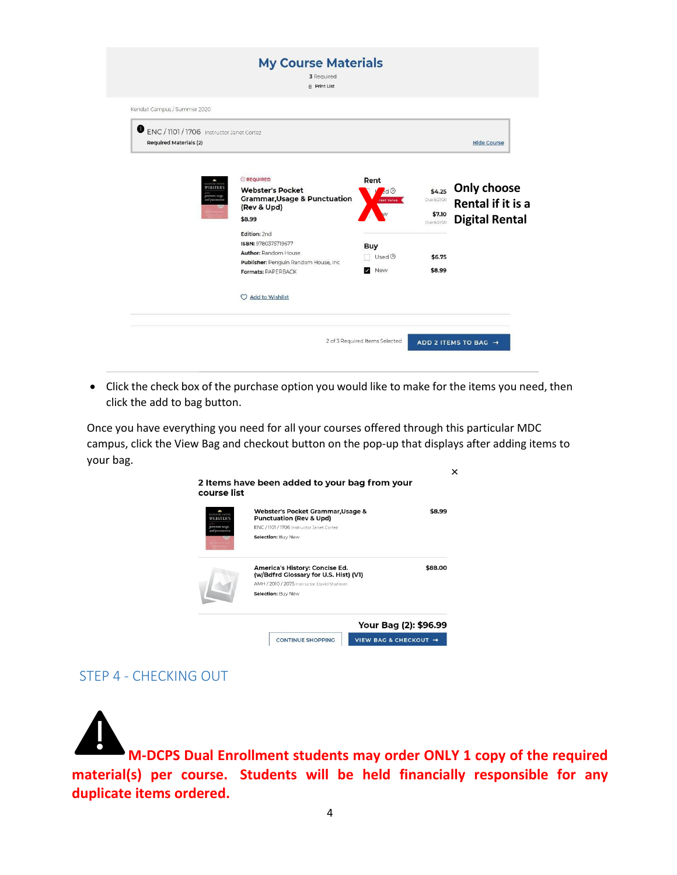| Kendall Campus / Summer 2020                                               |                                                                                                                                   |                                                                            |                                      |                                                                  |
|----------------------------------------------------------------------------|-----------------------------------------------------------------------------------------------------------------------------------|----------------------------------------------------------------------------|--------------------------------------|------------------------------------------------------------------|
| ENC / 1101 / 1706 Instructor Janet Cortez<br><b>Required Materials (2)</b> |                                                                                                                                   |                                                                            |                                      | <b>Hide Course</b>                                               |
| <b>WEBSTER'S</b><br><b>HUNTERS</b> , MARY<br>od pasymeri                   | <b>OREQUIRED</b><br><b>Webster's Pocket</b><br><b>Grammar, Usage &amp; Punctuation</b><br>(Rev & Upd)<br>\$8.99                   | Rent<br>$\mathcal{A}^{\triangleleft$<br>eat Value                          | Due 8/21/20<br>\$7.10<br>Due 8/21/20 | \$4.25 Only choose<br>Rental if it is a<br><b>Digital Rental</b> |
|                                                                            | Edition: 2nd<br>ISBN: 9780375719677<br><b>Author: Random House</b><br>Publisher: Penguin Random House, Inc.<br>Formats: PAPERBACK | <b>Buy</b><br>$Use d$ <sup><math>\odot</math></sup><br>New<br>$\checkmark$ | \$6.75<br>\$8.99                     |                                                                  |
|                                                                            | <b>Add to Wishlist</b><br>O                                                                                                       |                                                                            |                                      |                                                                  |

• Click the check box of the purchase option you would like to make for the items you need, then click the add to bag button.

Once you have everything you need for all your courses offered through this particular MDC campus, click the View Bag and checkout button on the pop-up that displays after adding items to your bag.



#### STEP 4 - CHECKING OUT

**M-DCPS Dual Enrollment students may order ONLY 1 copy of the required material(s) per course. Students will be held financially responsible for any duplicate items ordered.**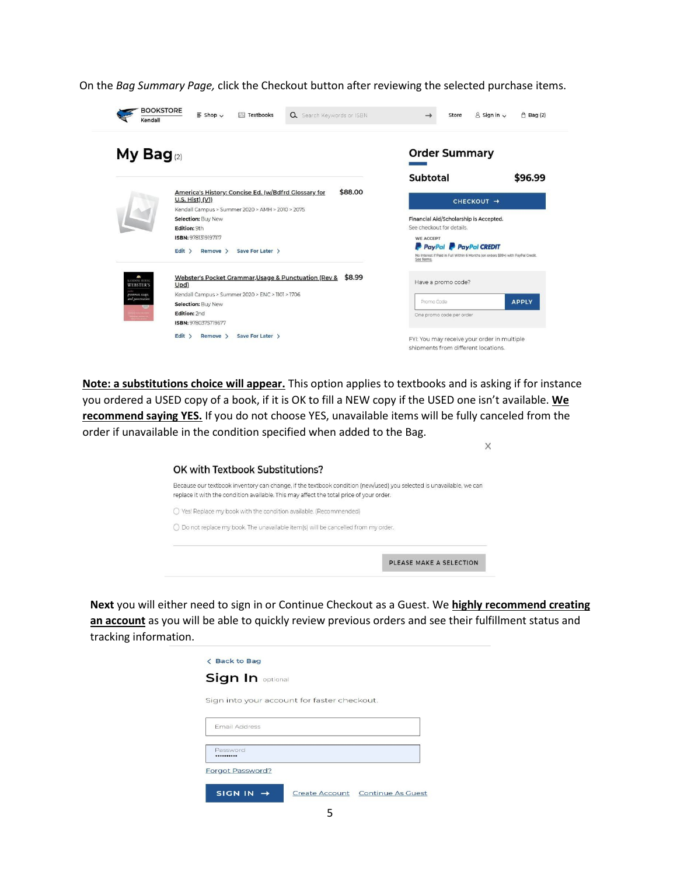On the *Bag Summary Page,* click the Checkout button after reviewing the selected purchase items.



**Note: a substitutions choice will appear.** This option applies to textbooks and is asking if for instance you ordered a USED copy of a book, if it is OK to fill a NEW copy if the USED one isn't available. **We recommend saying YES.** If you do not choose YES, unavailable items will be fully canceled from the order if unavailable in the condition specified when added to the Bag.

| replace it with the condition available. This may affect the total price of your order. | Because our textbook inventory can change, if the textbook condition (new/used) you selected is unavailable, we can |
|-----------------------------------------------------------------------------------------|---------------------------------------------------------------------------------------------------------------------|
| ○ Yes! Replace my book with the condition available. (Recommended)                      |                                                                                                                     |
| ○ Do not replace my book. The unavailable item(s) will be cancelled from my order.      |                                                                                                                     |

**Next** you will either need to sign in or Continue Checkout as a Guest. We **highly recommend creating an account** as you will be able to quickly review previous orders and see their fulfillment status and tracking information.

| <b>&lt; Back to Bag</b><br><b>Sign In optional</b> |  |
|----------------------------------------------------|--|
| Sign into your account for faster checkout.        |  |
| <b>Email Address</b>                               |  |
| Password<br>                                       |  |
| Forgot Password?                                   |  |
| <b>SIGN IN</b><br>Create Account Continue As Guest |  |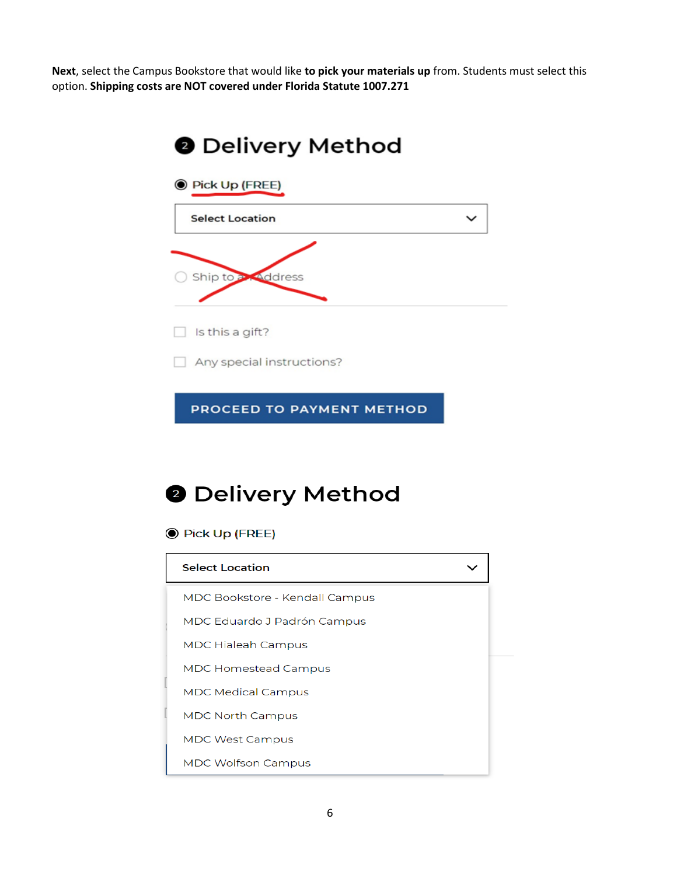**Next**, select the Campus Bookstore that would like **to pick your materials up** from. Students must select this option. **Shipping costs are NOT covered under Florida Statute 1007.271**



# **@ Delivery Method**

**O** Pick Up (FREE)

| <b>Select Location</b>         |  |
|--------------------------------|--|
| MDC Bookstore - Kendall Campus |  |
| MDC Eduardo J Padrón Campus    |  |
| <b>MDC Hialeah Campus</b>      |  |
| <b>MDC Homestead Campus</b>    |  |
| <b>MDC Medical Campus</b>      |  |
| <b>MDC North Campus</b>        |  |
| <b>MDC West Campus</b>         |  |
| <b>MDC Wolfson Campus</b>      |  |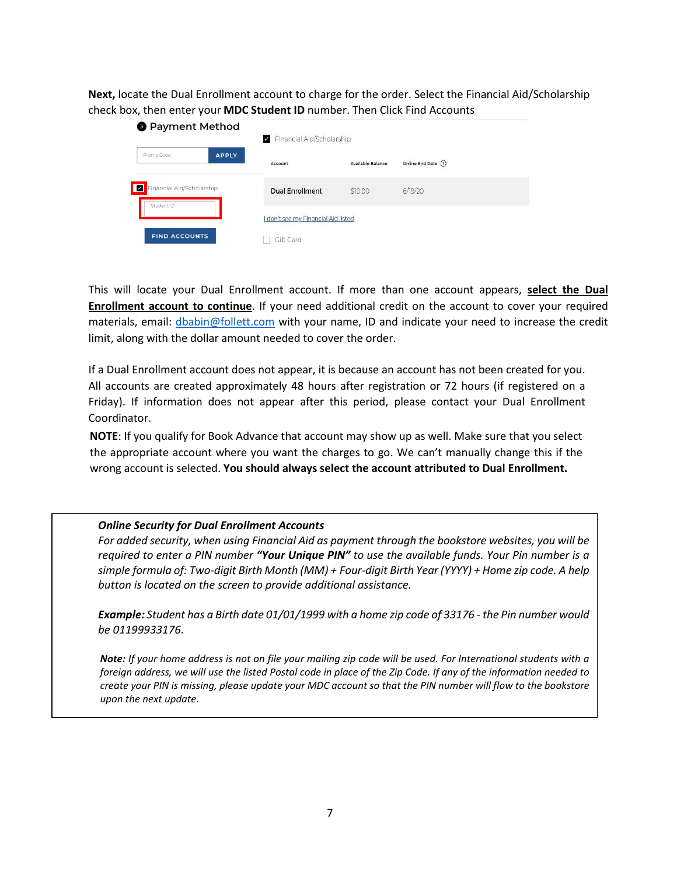**Next,** locate the Dual Enrollment account to charge for the order. Select the Financial Aid/Scholarship check box, then enter your **MDC Student ID** number. Then Click Find Accounts

| <b>8</b> Payment Method                      | Financial Aid/Scholarship           |                   |                     |  |  |
|----------------------------------------------|-------------------------------------|-------------------|---------------------|--|--|
| Promo Code<br><b>APPLY</b>                   | Account                             | Available Balance | Online End Date (?) |  |  |
| Financial Aid/Scholarship<br>╹<br>Student ID | <b>Dual Enrollment</b>              | \$10.00           | 6/19/20             |  |  |
|                                              | I don't see my Financial Aid listed |                   |                     |  |  |
| <b>FIND ACCOUNTS</b>                         | Gift Card                           |                   |                     |  |  |

This will locate your Dual Enrollment account. If more than one account appears, **select the Dual Enrollment account to continue**. If your need additional credit on the account to cover your required materials, email: [dbabin@follett.com](mailto:dbabin@follett.com) with your name, ID and indicate your need to increase the credit limit, along with the dollar amount needed to cover the order.

If a Dual Enrollment account does not appear, it is because an account has not been created for you. All accounts are created approximately 48 hours after registration or 72 hours (if registered on a Friday). If information does not appear after this period, please contact your Dual Enrollment Coordinator.

**NOTE**: If you qualify for Book Advance that account may show up as well. Make sure that you select the appropriate account where you want the charges to go. We can't manually change this if the wrong account is selected. **You should always select the account attributed to Dual Enrollment.**

#### *Online Security for Dual Enrollment Accounts*

*For added security, when using Financial Aid as payment through the bookstore websites, you will be required to enter a PIN number "Your Unique PIN" to use the available funds. Your Pin number is a simple formula of: Two-digit Birth Month (MM) + Four-digit Birth Year (YYYY) + Home zip code. A help button is located on the screen to provide additional assistance.*

*Example: Student has a Birth date 01/01/1999 with a home zip code of 33176 - the Pin number would be 01199933176.*

*Note: If your home address is not on file your mailing zip code will be used. For International students with a foreign address, we will use the listed Postal code in place of the Zip Code. If any of the information needed to create your PIN is missing, please update your MDC account so that the PIN number will flow to the bookstore upon the next update.*